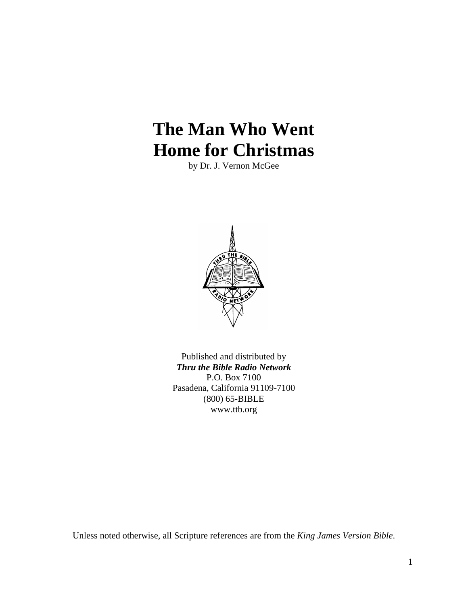# **The Man Who Went Home for Christmas**

by Dr. J. Vernon McGee



Published and distributed by *Thru the Bible Radio Network* P.O. Box 7100 Pasadena, California 91109-7100 (800) 65-BIBLE www.ttb.org

Unless noted otherwise, all Scripture references are from the *King James Version Bible*.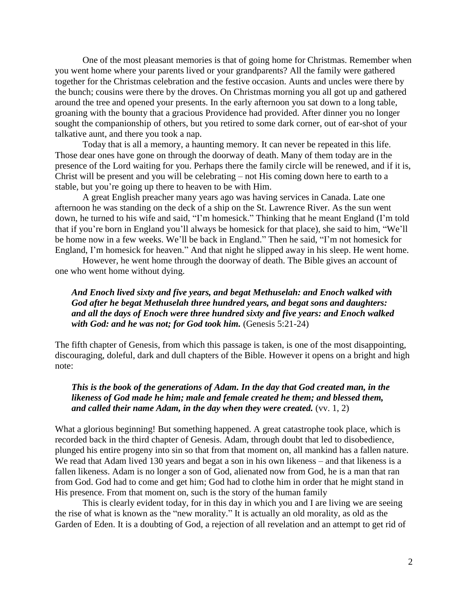One of the most pleasant memories is that of going home for Christmas. Remember when you went home where your parents lived or your grandparents? All the family were gathered together for the Christmas celebration and the festive occasion. Aunts and uncles were there by the bunch; cousins were there by the droves. On Christmas morning you all got up and gathered around the tree and opened your presents. In the early afternoon you sat down to a long table, groaning with the bounty that a gracious Providence had provided. After dinner you no longer sought the companionship of others, but you retired to some dark corner, out of ear-shot of your talkative aunt, and there you took a nap.

Today that is all a memory, a haunting memory. It can never be repeated in this life. Those dear ones have gone on through the doorway of death. Many of them today are in the presence of the Lord waiting for you. Perhaps there the family circle will be renewed, and if it is, Christ will be present and you will be celebrating – not His coming down here to earth to a stable, but you're going up there to heaven to be with Him.

A great English preacher many years ago was having services in Canada. Late one afternoon he was standing on the deck of a ship on the St. Lawrence River. As the sun went down, he turned to his wife and said, "I'm homesick." Thinking that he meant England (I'm told that if you're born in England you'll always be homesick for that place), she said to him, "We'll be home now in a few weeks. We'll be back in England." Then he said, "I'm not homesick for England, I'm homesick for heaven." And that night he slipped away in his sleep. He went home.

However, he went home through the doorway of death. The Bible gives an account of one who went home without dying.

# *And Enoch lived sixty and five years, and begat Methuselah: and Enoch walked with God after he begat Methuselah three hundred years, and begat sons and daughters: and all the days of Enoch were three hundred sixty and five years: and Enoch walked with God: and he was not; for God took him.* (Genesis 5:21-24)

The fifth chapter of Genesis, from which this passage is taken, is one of the most disappointing, discouraging, doleful, dark and dull chapters of the Bible. However it opens on a bright and high note:

# *This is the book of the generations of Adam. In the day that God created man, in the likeness of God made he him; male and female created he them; and blessed them, and called their name Adam, in the day when they were created.* (vv. 1, 2)

What a glorious beginning! But something happened. A great catastrophe took place, which is recorded back in the third chapter of Genesis. Adam, through doubt that led to disobedience, plunged his entire progeny into sin so that from that moment on, all mankind has a fallen nature. We read that Adam lived 130 years and begat a son in his own likeness – and that likeness is a fallen likeness. Adam is no longer a son of God, alienated now from God, he is a man that ran from God. God had to come and get him; God had to clothe him in order that he might stand in His presence. From that moment on, such is the story of the human family

This is clearly evident today, for in this day in which you and I are living we are seeing the rise of what is known as the "new morality." It is actually an old morality, as old as the Garden of Eden. It is a doubting of God, a rejection of all revelation and an attempt to get rid of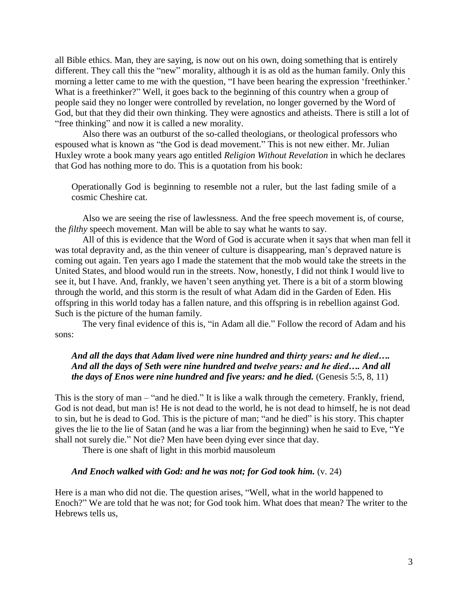all Bible ethics. Man, they are saying, is now out on his own, doing something that is entirely different. They call this the "new" morality, although it is as old as the human family. Only this morning a letter came to me with the question, "I have been hearing the expression 'freethinker.' What is a freethinker?" Well, it goes back to the beginning of this country when a group of people said they no longer were controlled by revelation, no longer governed by the Word of God, but that they did their own thinking. They were agnostics and atheists. There is still a lot of "free thinking" and now it is called a new morality.

Also there was an outburst of the so-called theologians, or theological professors who espoused what is known as "the God is dead movement." This is not new either. Mr. Julian Huxley wrote a book many years ago entitled *Religion Without Revelation* in which he declares that God has nothing more to do. This is a quotation from his book:

Operationally God is beginning to resemble not a ruler, but the last fading smile of a cosmic Cheshire cat.

Also we are seeing the rise of lawlessness. And the free speech movement is, of course, the *filthy* speech movement. Man will be able to say what he wants to say.

All of this is evidence that the Word of God is accurate when it says that when man fell it was total depravity and, as the thin veneer of culture is disappearing, man's depraved nature is coming out again. Ten years ago I made the statement that the mob would take the streets in the United States, and blood would run in the streets. Now, honestly, I did not think I would live to see it, but I have. And, frankly, we haven't seen anything yet. There is a bit of a storm blowing through the world, and this storm is the result of what Adam did in the Garden of Eden. His offspring in this world today has a fallen nature, and this offspring is in rebellion against God. Such is the picture of the human family.

The very final evidence of this is, "in Adam all die." Follow the record of Adam and his sons:

# *And all the days that Adam lived were nine hundred and thirty years: and he died…. And all the days of Seth were nine hundred and twelve years: and he died…. And all the days of Enos were nine hundred and five years: and he died.* (Genesis 5:5, 8, 11)

This is the story of man – "and he died." It is like a walk through the cemetery. Frankly, friend, God is not dead, but man is! He is not dead to the world, he is not dead to himself, he is not dead to sin, but he is dead to God. This is the picture of man; "and he died" is his story. This chapter gives the lie to the lie of Satan (and he was a liar from the beginning) when he said to Eve,  $\mathrm{``Ye}$ shall not surely die." Not die? Men have been dying ever since that day.

There is one shaft of light in this morbid mausoleum

#### *And Enoch walked with God: and he was not; for God took him.* (v. 24)

Here is a man who did not die. The question arises, "Well, what in the world happened to Enoch?" We are told that he was not; for God took him. What does that mean? The writer to the Hebrews tells us,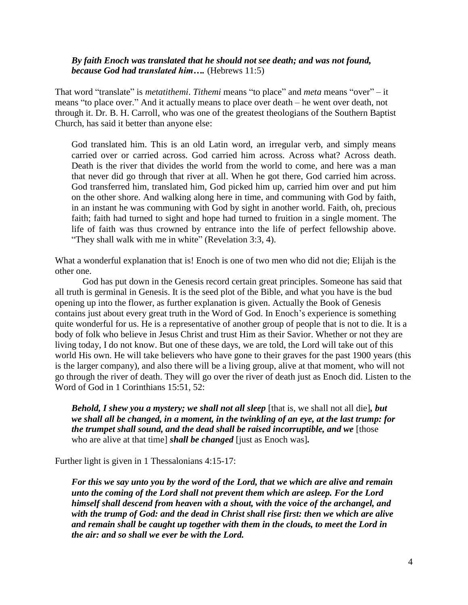## *By faith Enoch was translated that he should not see death; and was not found, because God had translated him….* (Hebrews 11:5)

That word "translate" is *metatithemi*. *Tithemi* means "to place" and *meta* means "over" – it means "to place over." And it actually means to place over death – he went over death, not through it. Dr. B. H. Carroll, who was one of the greatest theologians of the Southern Baptist Church, has said it better than anyone else:

God translated him. This is an old Latin word, an irregular verb, and simply means carried over or carried across. God carried him across. Across what? Across death. Death is the river that divides the world from the world to come, and here was a man that never did go through that river at all. When he got there, God carried him across. God transferred him, translated him, God picked him up, carried him over and put him on the other shore. And walking along here in time, and communing with God by faith, in an instant he was communing with God by sight in another world. Faith, oh, precious faith; faith had turned to sight and hope had turned to fruition in a single moment. The life of faith was thus crowned by entrance into the life of perfect fellowship above. "They shall walk with me in white" (Revelation 3:3, 4).

What a wonderful explanation that is! Enoch is one of two men who did not die; Elijah is the other one.

God has put down in the Genesis record certain great principles. Someone has said that all truth is germinal in Genesis. It is the seed plot of the Bible, and what you have is the bud opening up into the flower, as further explanation is given. Actually the Book of Genesis contains just about every great truth in the Word of God. In Enoch's experience is something quite wonderful for us. He is a representative of another group of people that is not to die. It is a body of folk who believe in Jesus Christ and trust Him as their Savior. Whether or not they are living today, I do not know. But one of these days, we are told, the Lord will take out of this world His own. He will take believers who have gone to their graves for the past 1900 years (this is the larger company), and also there will be a living group, alive at that moment, who will not go through the river of death. They will go over the river of death just as Enoch did. Listen to the Word of God in 1 Corinthians 15:51, 52:

*Behold, I shew you a mystery; we shall not all sleep* [that is, we shall not all die]*, but we shall all be changed, in a moment, in the twinkling of an eye, at the last trump: for the trumpet shall sound, and the dead shall be raised incorruptible, and we* [those who are alive at that time] *shall be changed* [just as Enoch was]*.*

Further light is given in 1 Thessalonians 4:15-17:

*For this we say unto you by the word of the Lord, that we which are alive and remain unto the coming of the Lord shall not prevent them which are asleep. For the Lord himself shall descend from heaven with a shout, with the voice of the archangel, and with the trump of God: and the dead in Christ shall rise first: then we which are alive and remain shall be caught up together with them in the clouds, to meet the Lord in the air: and so shall we ever be with the Lord.*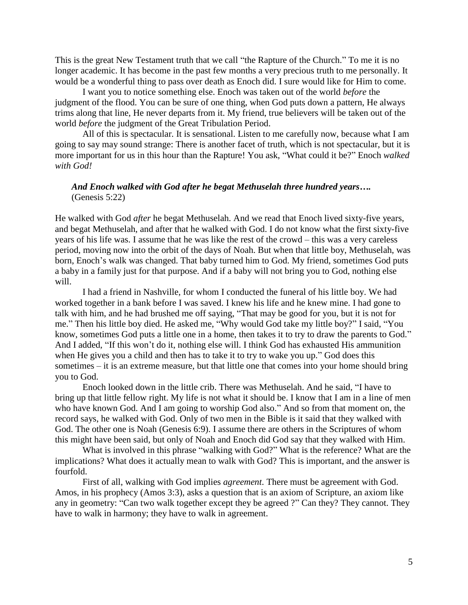This is the great New Testament truth that we call "the Rapture of the Church." To me it is no longer academic. It has become in the past few months a very precious truth to me personally. It would be a wonderful thing to pass over death as Enoch did. I sure would like for Him to come.

I want you to notice something else. Enoch was taken out of the world *before* the judgment of the flood. You can be sure of one thing, when God puts down a pattern, He always trims along that line, He never departs from it. My friend, true believers will be taken out of the world *before* the judgment of the Great Tribulation Period.

All of this is spectacular. It is sensational. Listen to me carefully now, because what I am going to say may sound strange: There is another facet of truth, which is not spectacular, but it is more important for us in this hour than the Rapture! You ask, "What could it be?" Enoch *walked with God!*

## *And Enoch walked with God after he begat Methuselah three hundred years….* (Genesis 5:22)

He walked with God *after* he begat Methuselah. And we read that Enoch lived sixty-five years, and begat Methuselah, and after that he walked with God. I do not know what the first sixty-five years of his life was. I assume that he was like the rest of the crowd – this was a very careless period, moving now into the orbit of the days of Noah. But when that little boy, Methuselah, was born, Enoch's walk was changed. That baby turned him to God. My friend, sometimes God puts a baby in a family just for that purpose. And if a baby will not bring you to God, nothing else will.

I had a friend in Nashville, for whom I conducted the funeral of his little boy. We had worked together in a bank before I was saved. I knew his life and he knew mine. I had gone to talk with him, and he had brushed me off saying, "That may be good for you, but it is not for me." Then his little boy died. He asked me, "Why would God take my little boy?" I said, "You know, sometimes God puts a little one in a home, then takes it to try to draw the parents to God." And I added, "If this won't do it, nothing else will. I think God has exhausted His ammunition when He gives you a child and then has to take it to try to wake you up." God does this sometimes – it is an extreme measure, but that little one that comes into your home should bring you to God.

Enoch looked down in the little crib. There was Methuselah. And he said, "I have to bring up that little fellow right. My life is not what it should be. I know that I am in a line of men who have known God. And I am going to worship God also." And so from that moment on, the record says, he walked with God. Only of two men in the Bible is it said that they walked with God. The other one is Noah (Genesis 6:9). I assume there are others in the Scriptures of whom this might have been said, but only of Noah and Enoch did God say that they walked with Him.

What is involved in this phrase "walking with God?" What is the reference? What are the implications? What does it actually mean to walk with God? This is important, and the answer is fourfold.

First of all, walking with God implies *agreement*. There must be agreement with God. Amos, in his prophecy (Amos 3:3), asks a question that is an axiom of Scripture, an axiom like any in geometry: "Can two walk together except they be agreed ?" Can they? They cannot. They have to walk in harmony; they have to walk in agreement.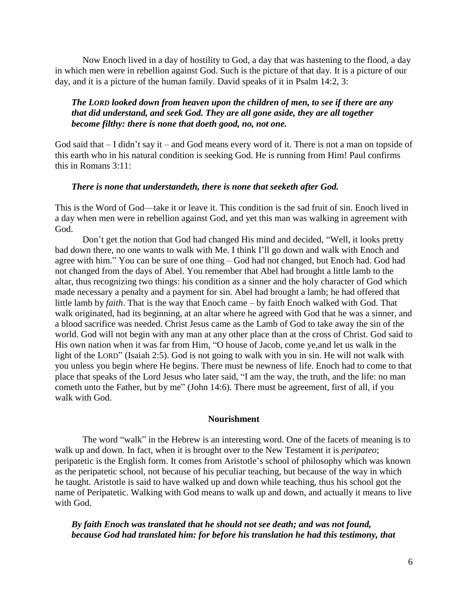Now Enoch lived in a day of hostility to God, a day that was hastening to the flood, a day in which men were in rebellion against God. Such is the picture of that day. It is a picture of our day, and it is a picture of the human family. David speaks of it in Psalm 14:2, 3:

## *The LORD looked down from heaven upon the children of men, to see if there are any that did understand, and seek God. They are all gone aside, they are all together become filthy: there is none that doeth good, no, not one.*

God said that – I didn't say it – and God means every word of it. There is not a man on topside of this earth who in his natural condition is seeking God. He is running from Him! Paul confirms this in Romans 3:11:

#### *There is none that understandeth, there is none that seeketh after God.*

This is the Word of God—take it or leave it. This condition is the sad fruit of sin. Enoch lived in a day when men were in rebellion against God, and yet this man was walking in agreement with God.

Don't get the notion that God had changed His mind and decided, "Well, it looks pretty bad down there, no one wants to walk with Me. I think I'll go down and walk with Enoch and agree with him." You can be sure of one thing – God had not changed, but Enoch had. God had not changed from the days of Abel. You remember that Abel had brought a little lamb to the altar, thus recognizing two things: his condition as a sinner and the holy character of God which made necessary a penalty and a payment for sin. Abel had brought a lamb; he had offered that little lamb by *faith*. That is the way that Enoch came – by faith Enoch walked with God. That walk originated, had its beginning, at an altar where he agreed with God that he was a sinner, and a blood sacrifice was needed. Christ Jesus came as the Lamb of God to take away the sin of the world. God will not begin with any man at any other place than at the cross of Christ. God said to His own nation when it was far from Him, "O house of Jacob, come ye, and let us walk in the light of the LORD" (Isaiah 2:5). God is not going to walk with you in sin. He will not walk with you unless you begin where He begins. There must be newness of life. Enoch had to come to that place that speaks of the Lord Jesus who later said, "I am the way, the truth, and the life: no man cometh unto the Father, but by me" (John 14:6). There must be agreement, first of all, if you walk with God.

#### **Nourishment**

The word "walk" in the Hebrew is an interesting word. One of the facets of meaning is to walk up and down. In fact, when it is brought over to the New Testament it is *peripateo*; peripatetic is the English form. It comes from Aristotle's school of philosophy which was known as the peripatetic school, not because of his peculiar teaching, but because of the way in which he taught. Aristotle is said to have walked up and down while teaching, thus his school got the name of Peripatetic. Walking with God means to walk up and down, and actually it means to live with God.

*By faith Enoch was translated that he should not see death; and was not found, because God had translated him: for before his translation he had this testimony, that*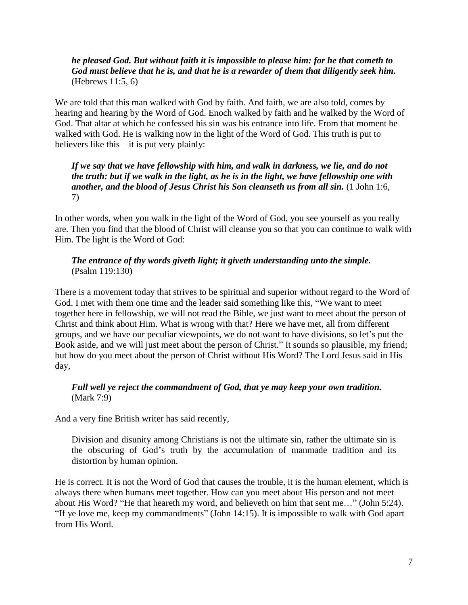# *he pleased God. But without faith it is impossible to please him: for he that cometh to God must believe that he is, and that he is a rewarder of them that diligently seek him.* (Hebrews 11:5, 6)

We are told that this man walked with God by faith. And faith, we are also told, comes by hearing and hearing by the Word of God. Enoch walked by faith and he walked by the Word of God. That altar at which he confessed his sin was his entrance into life. From that moment he walked with God. He is walking now in the light of the Word of God. This truth is put to believers like this – it is put very plainly:

# *If we say that we have fellowship with him, and walk in darkness, we lie, and do not the truth: but if we walk in the light, as he is in the light, we have fellowship one with another, and the blood of Jesus Christ his Son cleanseth us from all sin.* (1 John 1:6, 7)

In other words, when you walk in the light of the Word of God, you see yourself as you really are. Then you find that the blood of Christ will cleanse you so that you can continue to walk with Him. The light is the Word of God:

# *The entrance of thy words giveth light; it giveth understanding unto the simple.* (Psalm 119:130)

There is a movement today that strives to be spiritual and superior without regard to the Word of God. I met with them one time and the leader said something like this, "We want to meet together here in fellowship, we will not read the Bible, we just want to meet about the person of Christ and think about Him. What is wrong with that? Here we have met, all from different groups, and we have our peculiar viewpoints, we do not want to have divisions, so let's put the Book aside, and we will just meet about the person of Christ." It sounds so plausible, my friend; but how do you meet about the person of Christ without His Word? The Lord Jesus said in His day,

# *Full well ye reject the commandment of God, that ye may keep your own tradition.* (Mark 7:9)

And a very fine British writer has said recently,

Division and disunity among Christians is not the ultimate sin, rather the ultimate sin is the obscuring of God's truth by the accumulation of manmade tradition and its distortion by human opinion.

He is correct. It is not the Word of God that causes the trouble, it is the human element, which is always there when humans meet together. How can you meet about His person and not meet about His Word? "He that heareth my word, and believeth on him that sent me..." (John 5:24). "If ye love me, keep my commandments" (John 14:15). It is impossible to walk with God apart from His Word.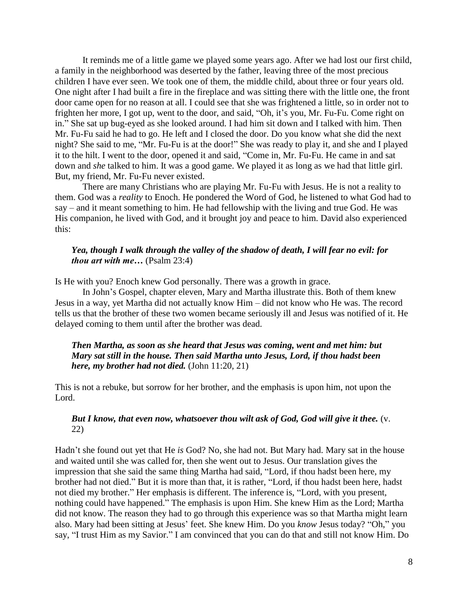It reminds me of a little game we played some years ago. After we had lost our first child, a family in the neighborhood was deserted by the father, leaving three of the most precious children I have ever seen. We took one of them, the middle child, about three or four years old. One night after I had built a fire in the fireplace and was sitting there with the little one, the front door came open for no reason at all. I could see that she was frightened a little, so in order not to frighten her more, I got up, went to the door, and said, "Oh, it's you, Mr. Fu-Fu. Come right on in." She sat up bug-eyed as she looked around. I had him sit down and I talked with him. Then Mr. Fu-Fu said he had to go. He left and I closed the door. Do you know what she did the next night? She said to me, "Mr. Fu-Fu is at the door!" She was ready to play it, and she and I played it to the hilt. I went to the door, opened it and said, "Come in, Mr. Fu-Fu. He came in and sat down and *she* talked to him. It was a good game. We played it as long as we had that little girl. But, my friend, Mr. Fu-Fu never existed.

There are many Christians who are playing Mr. Fu-Fu with Jesus. He is not a reality to them. God was a *reality* to Enoch. He pondered the Word of God, he listened to what God had to say – and it meant something to him. He had fellowship with the living and true God. He was His companion, he lived with God, and it brought joy and peace to him. David also experienced this:

#### *Yea, though I walk through the valley of the shadow of death, I will fear no evil: for thou art with me…* (Psalm 23:4)

Is He with you? Enoch knew God personally. There was a growth in grace.

In John's Gospel, chapter eleven, Mary and Martha illustrate this. Both of them knew Jesus in a way, yet Martha did not actually know Him – did not know who He was. The record tells us that the brother of these two women became seriously ill and Jesus was notified of it. He delayed coming to them until after the brother was dead.

## *Then Martha, as soon as she heard that Jesus was coming, went and met him: but Mary sat still in the house. Then said Martha unto Jesus, Lord, if thou hadst been here, my brother had not died.* (John 11:20, 21)

This is not a rebuke, but sorrow for her brother, and the emphasis is upon him, not upon the Lord.

## *But I know, that even now, whatsoever thou wilt ask of God, God will give it thee.* (v. 22)

Hadn't she found out yet that He *is* God? No, she had not. But Mary had. Mary sat in the house and waited until she was called for, then she went out to Jesus. Our translation gives the impression that she said the same thing Martha had said, "Lord, if thou hadst been here, my brother had not died." But it is more than that, it is rather, "Lord, if thou hadst been here, hadst not died my brother." Her emphasis is different. The inference is, "Lord, with you present, nothing could have happened." The emphasis is upon Him. She knew Him as the Lord; Martha did not know. The reason they had to go through this experience was so that Martha might learn also. Mary had been sitting at Jesus' feet. She knew Him. Do you *know* Jesus today? "Oh," you say, "I trust Him as my Savior." I am convinced that you can do that and still not know Him. Do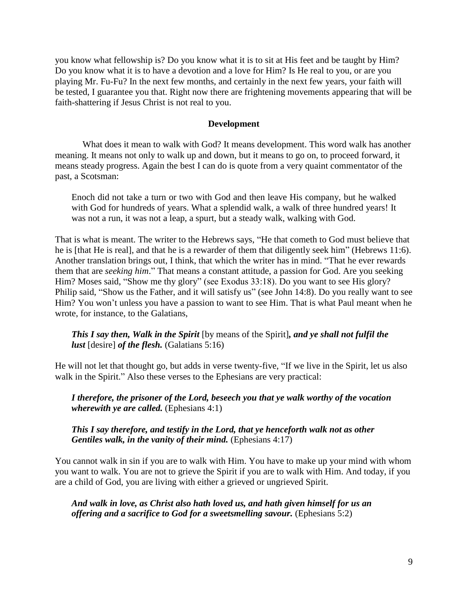you know what fellowship is? Do you know what it is to sit at His feet and be taught by Him? Do you know what it is to have a devotion and a love for Him? Is He real to you, or are you playing Mr. Fu-Fu? In the next few months, and certainly in the next few years, your faith will be tested, I guarantee you that. Right now there are frightening movements appearing that will be faith-shattering if Jesus Christ is not real to you.

#### **Development**

What does it mean to walk with God? It means development. This word walk has another meaning. It means not only to walk up and down, but it means to go on, to proceed forward, it means steady progress. Again the best I can do is quote from a very quaint commentator of the past, a Scotsman:

Enoch did not take a turn or two with God and then leave His company, but he walked with God for hundreds of years. What a splendid walk, a walk of three hundred years! It was not a run, it was not a leap, a spurt, but a steady walk, walking with God.

That is what is meant. The writer to the Hebrews says, "He that cometh to God must believe that he is [that He is real], and that he is a rewarder of them that diligently seek him" (Hebrews 11:6). Another translation brings out, I think, that which the writer has in mind. "That he ever rewards them that are *seeking him*." That means a constant attitude, a passion for God. Are you seeking Him? Moses said, "Show me thy glory" (see Exodus 33:18). Do you want to see His glory? Philip said, "Show us the Father, and it will satisfy us" (see John 14:8). Do you really want to see Him? You won't unless you have a passion to want to see Him. That is what Paul meant when he wrote, for instance, to the Galatians,

*This I say then, Walk in the Spirit* [by means of the Spirit]*, and ye shall not fulfil the lust* [desire] *of the flesh.* (Galatians 5:16)

He will not let that thought go, but adds in verse twenty-five, "If we live in the Spirit, let us also walk in the Spirit." Also these verses to the Ephesians are very practical:

*I therefore, the prisoner of the Lord, beseech you that ye walk worthy of the vocation wherewith ye are called.* (Ephesians 4:1)

*This I say therefore, and testify in the Lord, that ye henceforth walk not as other Gentiles walk, in the vanity of their mind.* (Ephesians 4:17)

You cannot walk in sin if you are to walk with Him. You have to make up your mind with whom you want to walk. You are not to grieve the Spirit if you are to walk with Him. And today, if you are a child of God, you are living with either a grieved or ungrieved Spirit.

*And walk in love, as Christ also hath loved us, and hath given himself for us an offering and a sacrifice to God for a sweetsmelling savour.* (Ephesians 5:2)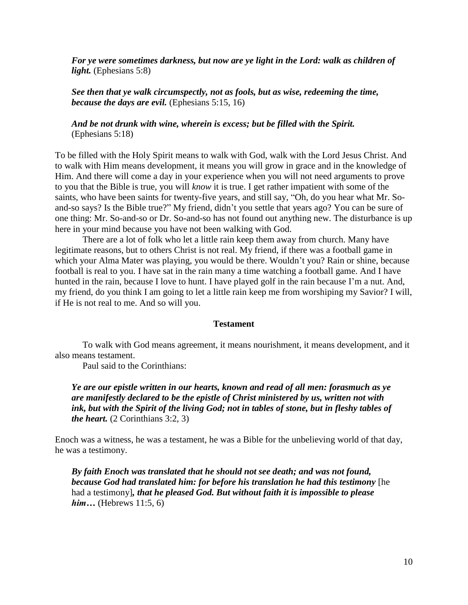*For ye were sometimes darkness, but now are ye light in the Lord: walk as children of light.* (Ephesians 5:8)

*See then that ye walk circumspectly, not as fools, but as wise, redeeming the time, because the days are evil.* (Ephesians 5:15, 16)

*And be not drunk with wine, wherein is excess; but be filled with the Spirit.* (Ephesians 5:18)

To be filled with the Holy Spirit means to walk with God, walk with the Lord Jesus Christ. And to walk with Him means development, it means you will grow in grace and in the knowledge of Him. And there will come a day in your experience when you will not need arguments to prove to you that the Bible is true, you will *know* it is true. I get rather impatient with some of the saints, who have been saints for twenty-five years, and still say, "Oh, do you hear what Mr. Soand-so says? Is the Bible true?" My friend, didn't you settle that years ago? You can be sure of one thing: Mr. So-and-so or Dr. So-and-so has not found out anything new. The disturbance is up here in your mind because you have not been walking with God.

There are a lot of folk who let a little rain keep them away from church. Many have legitimate reasons, but to others Christ is not real. My friend, if there was a football game in which your Alma Mater was playing, you would be there. Wouldn't you? Rain or shine, because football is real to you. I have sat in the rain many a time watching a football game. And I have hunted in the rain, because I love to hunt. I have played golf in the rain because I'm a nut. And, my friend, do you think I am going to let a little rain keep me from worshiping my Savior? I will, if He is not real to me. And so will you.

#### **Testament**

To walk with God means agreement, it means nourishment, it means development, and it also means testament.

Paul said to the Corinthians:

*Ye are our epistle written in our hearts, known and read of all men: forasmuch as ye are manifestly declared to be the epistle of Christ ministered by us, written not with ink, but with the Spirit of the living God; not in tables of stone, but in fleshy tables of the heart.* (2 Corinthians 3:2, 3)

Enoch was a witness, he was a testament, he was a Bible for the unbelieving world of that day, he was a testimony.

*By faith Enoch was translated that he should not see death; and was not found, because God had translated him: for before his translation he had this testimony* [he had a testimony]*, that he pleased God. But without faith it is impossible to please him*... (Hebrews 11:5, 6)